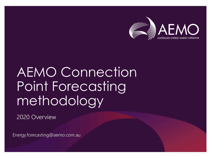

# AEMO Connection Point Forecasting methodology

2020 Overview

Energy.forecasting@aemo.com.au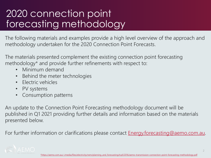#### 2020 connection point forecasting methodology

The following materials and examples provide a high level overview of the approach and methodology undertaken for the 2020 Connection Point Forecasts.

The materials presented complement the existing connection point forecasting methodology\* and provide further refinements with respect to:

- Minimum demand
- Behind the meter technologies
- Electric vehicles
- PV systems
- Consumption patterns

An update to the Connection Point Forecasting methodology document will be published in Q1 2021 providing further details and information based on the materials presented below.

For further information or clarifications please contact **Energy** forecasting@aemo.com.au.

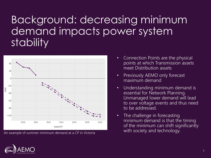### Background: decreasing minimum demand impacts power system stability



An example of summer minimum demand at a CP in Victoria

- Connection Points are the physical points at which Transmission assets meet Distribution assets
- Previously AEMO only forecast maximum demand
- Understanding minimum demand is essential for Network Planning. Unmanaged lower demand will lead to over voltage events and thus need to be addressed.
- The challenge in forecasting minimum demand is that the timing of the minimum can shift significantly with society and technology.

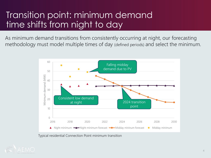#### Transition point: minimum demand time shifts from night to day

As minimum demand transitions from consistently occurring at night, our forecasting methodology must model multiple times of day (defined periods) and select the minimum.



Typical residential Connection Point minimum transition

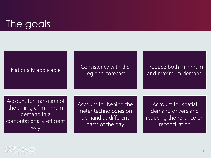#### The goals



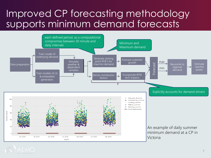#### Improved CP forecasting methodology supports minimum demand forecasts

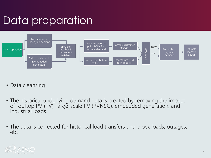# Data preparation



- Data cleansing
- The historical underlying demand data is created by removing the impact of rooftop PV (PV), large-scale PV (PVNSG), embedded generation, and industrial loads.
- The data is corrected for historical load transfers and block loads, outages, etc.

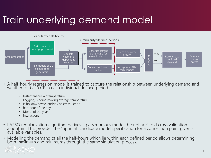## Train underlying demand model



- A half-hourly regression model is trained to capture the relationship between underlying demand and weather for each CP in each individual defined period.
	- Instantaneous air temperature
	- Lagging/Leading moving average temperature
	- Is holiday/Is weekend/Is Christmas Period
	- half-hour of the day
	- Month of the year
	- Interactions
- LASSO regularization algorithm derives a parsimonious model through a K-fold cross validation algorithm. This provides the "optimal" candidate model specification for a connection point given all available variables.
- Modelling the demand of all the half-hours which lie within each defined period allows determining both maximum and minimums through the same simulation process.

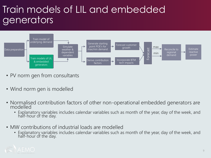#### Train models of LIL and embedded generators



- PV norm gen from consultants
- Wind norm gen is modelled
- Normalised contribution factors of other non-operational embedded generators are modelled
	- Explanatory variables includes calendar variables such as month of the year, day of the week, and half-hour of the day.
- MW contributions of industrial loads are modelled
	- Explanatory variables includes calendar variables such as month of the year, day of the week, and half-hour of the day.

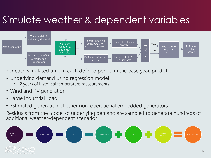#### Simulate weather & dependent variables



For each simulated time in each defined period in the base year, predict:

- Underlying demand using regression model
	- 12 years of historical temperature measurements
- Wind and PV generation
- Large Industrial Load
- Estimated generation of other non-operational embedded generators

Residuals from the model of underlying demand are sampled to generate hundreds of additional weather-dependent scenarios.

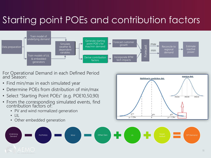## Starting point POEs and contribution factors



For Operational Demand in each Defined Period and Season:

- Find min/max in each simulated year
- Determine POEs from distribution of min/max
- Select "Starting Point POEs" (e.g. POE10,50,90)
- From the corresponding simulated events, find contribution factors of:
	- PV and wind normalized generation
	- $\bullet$  |||
	- Other embedded generation



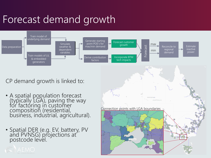# Forecast demand growth



CP demand growth is linked to:

- A spatial population forecast (typically LGA), paving the way for factoring in customer composition (residential, business, industrial, agricultural).
- Spatial DER (e.g. EV, battery, PV and PVNSG) projections at postcode level.

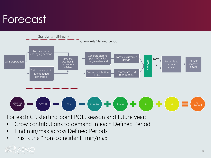# Forecast



For each CP, starting point POE, season and future year:

- Grow contributions to demand in each Defined Period
- Find min/max across Defined Periods
- This is the "non-coincident" min/max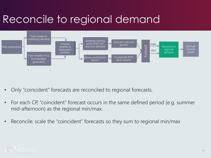# Reconcile to regional demand



- Only "coincident" forecasts are reconciled to regional forecasts.
- For each CP, "coincident" forecast occurs in the same defined period (e.g. summer mid-afternoon) as the regional min/max.
- Reconcile: scale the "coincident" forecasts so they sum to regional min/max

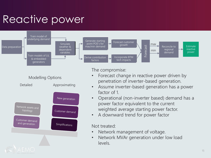# Reactive power





The compromise:

- Forecast change in reactive power driven by penetration of inverter-based generation.
- Assume inverter-based generation has a power factor of 1.
- Operational (non-inverter based) demand has a power factor equivalent to the current weighted average starting power factor.
- A downward trend for power factor

#### Not treated:

- Network management of voltage.
- Network MVAr generation under low load levels.